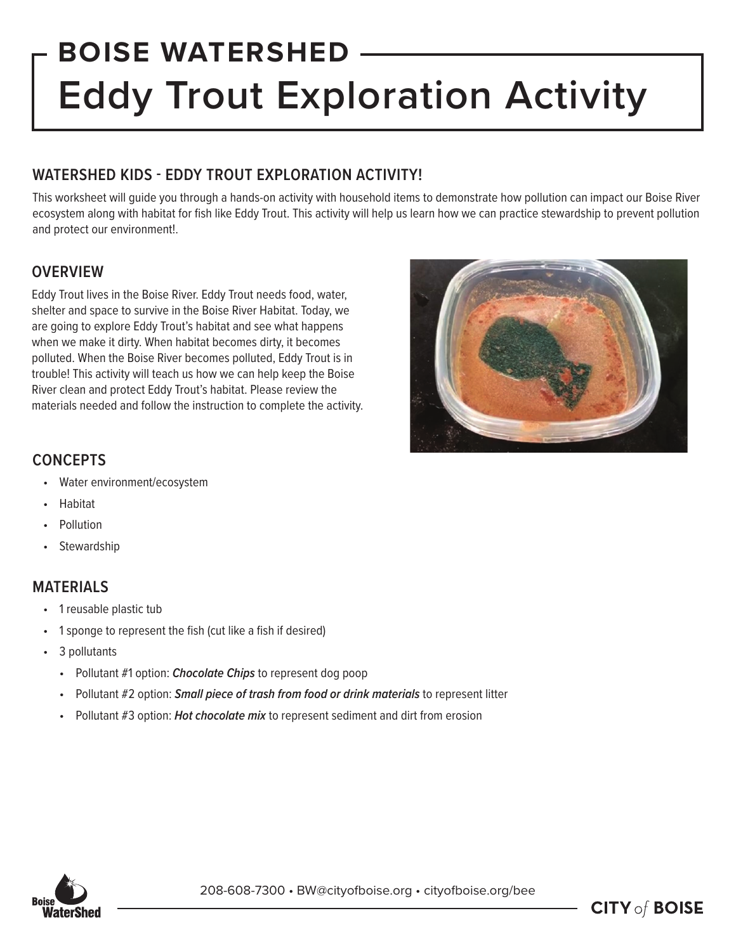# **BOISE WATERSHED Eddy Trout Exploration Activity**

# **WATERSHED KIDS - EDDY TROUT EXPLORATION ACTIVITY!**

This worksheet will guide you through a hands-on activity with household items to demonstrate how pollution can impact our Boise River ecosystem along with habitat for fish like Eddy Trout. This activity will help us learn how we can practice stewardship to prevent pollution and protect our environment!.

# **OVERVIEW**

Eddy Trout lives in the Boise River. Eddy Trout needs food, water, shelter and space to survive in the Boise River Habitat. Today, we are going to explore Eddy Trout's habitat and see what happens when we make it dirty. When habitat becomes dirty, it becomes polluted. When the Boise River becomes polluted, Eddy Trout is in trouble! This activity will teach us how we can help keep the Boise River clean and protect Eddy Trout's habitat. Please review the materials needed and follow the instruction to complete the activity.



# **CONCEPTS**

- Water environment/ecosystem
- Habitat
- **Pollution**
- **Stewardship**

# **MATERIALS**

- 1 reusable plastic tub
- 1 sponge to represent the fish (cut like a fish if desired)
- 3 pollutants
	- Pollutant #1 option: *Chocolate Chips* to represent dog poop
	- Pollutant #2 option: *Small piece of trash from food or drink materials* to represent litter
	- Pollutant #3 option: *Hot chocolate mix* to represent sediment and dirt from erosion



208-608-7300 • BW@cityofboise.org • cityofboise.org/bee